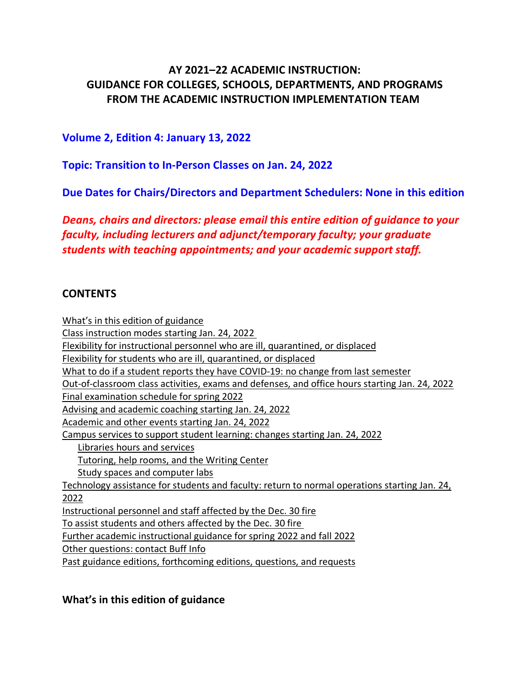# **AY 2021–22 ACADEMIC INSTRUCTION: GUIDANCE FOR COLLEGES, SCHOOLS, DEPARTMENTS, AND PROGRAMS FROM THE ACADEMIC INSTRUCTION IMPLEMENTATION TEAM**

## **Volume 2, Edition 4: January 13, 2022**

**Topic: Transition to In-Person Classes on Jan. 24, 2022**

**Due Dates for Chairs/Directors and Department Schedulers: None in this edition**

*Deans, chairs and directors: please email this entire edition of guidance to your faculty, including lecturers and adjunct/temporary faculty; your graduate students with teaching appointments; and your academic support staff.*

### **CONTENTS**

[What's in this edition of guidance](#page-0-0) [Class instruction modes starting Jan. 24, 2022](#page-1-0) [Flexibility for instructional personnel who are ill, quarantined, or displaced](#page-1-1) [Flexibility for students who are ill, quarantined, or displaced](#page-1-2) [What to do if a student reports they have COVID-19: no change from last semester](#page-3-0) [Out-of-classroom class activities, exams and defenses, and office hours starting Jan. 24, 2022](#page-3-1) [Final examination schedule for spring 2022](#page-3-2) [Advising and academic coaching starting Jan. 24, 2022](#page-3-3) [Academic and other events starting Jan. 24, 2022](#page-4-0) [Campus services to support student learning: changes starting Jan. 24, 2022](#page-4-1) [Libraries hours and services](#page-4-2) [Tutoring, help rooms, and the Writing Center](#page-4-3) [Study spaces and computer labs](#page-4-4) [Technology assistance for students and faculty: return to normal operations starting Jan. 24,](#page-5-0)  [2022](#page-5-0) [Instructional personnel and staff affected by the Dec. 30 fire](#page-5-1) [To assist students and others affected by the Dec. 30 fire](#page-6-0) [Further academic instructional guidance for spring 2022 and fall 2022](#page-6-1) [Other questions: contact Buff Info](#page-6-2) [Past guidance editions, forthcoming editions, questions, and requests](#page-6-3)

<span id="page-0-0"></span>**What's in this edition of guidance**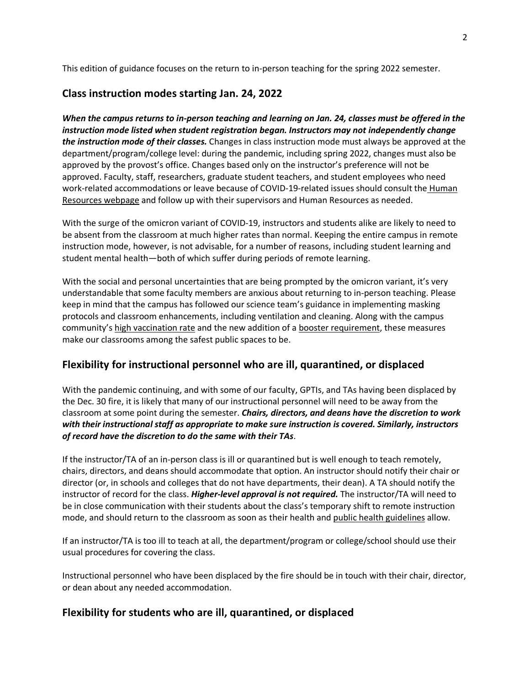<span id="page-1-0"></span>This edition of guidance focuses on the return to in-person teaching for the spring 2022 semester.

### **Class instruction modes starting Jan. 24, 2022**

*When the campus returns to in-person teaching and learning on Jan. 24, classes must be offered in the instruction mode listed when student registration began. Instructors may not independently change the instruction mode of their classes.* Changes in class instruction mode must always be approved at the department/program/college level: during the pandemic, including spring 2022, changes must also be approved by the provost's office. Changes based only on the instructor's preference will not be approved. Faculty, staff, researchers, graduate student teachers, and student employees who need work-related accommodations or leave because of COVID-19-related issues should consult the [Human](https://www.colorado.edu/hr/covid-19-hr-guidance)  [Resources webpage](https://www.colorado.edu/hr/covid-19-hr-guidance) and follow up with their supervisors and Human Resources as needed.

With the surge of the omicron variant of COVID-19, instructors and students alike are likely to need to be absent from the classroom at much higher rates than normal. Keeping the entire campus in remote instruction mode, however, is not advisable, for a number of reasons, including student learning and student mental health—both of which suffer during periods of remote learning.

With the social and personal uncertainties that are being prompted by the omicron variant, it's very understandable that some faculty members are anxious about returning to in-person teaching. Please keep in mind that the campus has followed our science team's guidance in implementing masking protocols and classroom enhancements, including ventilation and cleaning. Along with the campus community'[s high vaccination rate](https://www.colorado.edu/covid-19-ready-dashboard) and the new addition of a [booster requirement,](https://www.colorado.edu/today/newsletter/evp-and-coo/booster-requirement-now-effect-cu-boulder-community) these measures make our classrooms among the safest public spaces to be.

### <span id="page-1-1"></span>**Flexibility for instructional personnel who are ill, quarantined, or displaced**

With the pandemic continuing, and with some of our faculty, GPTIs, and TAs having been displaced by the Dec. 30 fire, it is likely that many of our instructional personnel will need to be away from the classroom at some point during the semester. *Chairs, directors, and deans have the discretion to work with their instructional staff as appropriate to make sure instruction is covered. Similarly, instructors of record have the discretion to do the same with their TAs*.

If the instructor/TA of an in-person class is ill or quarantined but is well enough to teach remotely, chairs, directors, and deans should accommodate that option. An instructor should notify their chair or director (or, in schools and colleges that do not have departments, their dean). A TA should notify the instructor of record for the class. *Higher-level approval is not required.* The instructor/TA will need to be in close communication with their students about the class's temporary shift to remote instruction mode, and should return to the classroom as soon as their health and [public health guidelines](https://www.colorado.edu/health/public-health) allow.

If an instructor/TA is too ill to teach at all, the department/program or college/school should use their usual procedures for covering the class.

Instructional personnel who have been displaced by the fire should be in touch with their chair, director, or dean about any needed accommodation.

### <span id="page-1-2"></span>**Flexibility for students who are ill, quarantined, or displaced**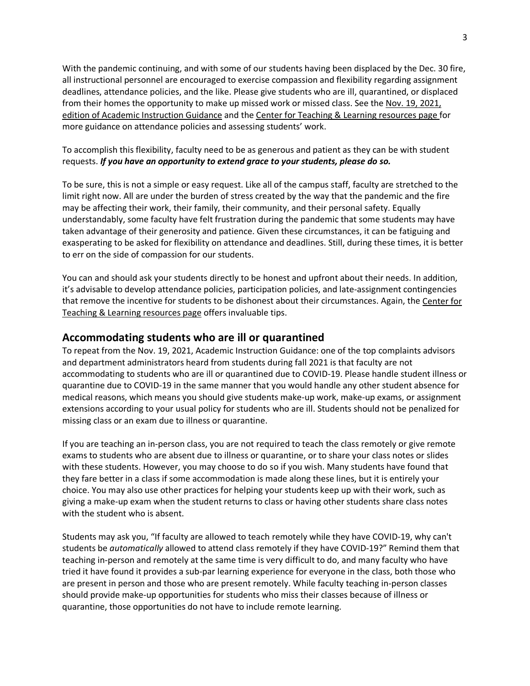With the pandemic continuing, and with some of our students having been displaced by the Dec. 30 fire, all instructional personnel are encouraged to exercise compassion and flexibility regarding assignment deadlines, attendance policies, and the like. Please give students who are ill, quarantined, or displaced from their homes the opportunity to make up missed work or missed class. See the Nov. 19, 2021, [edition of Academic Instruction Guidance](https://www.colorado.edu/academicaffairs/academic-planning-assessment/academic-instruction-guidance) and the [Center for Teaching & Learning resources page f](https://www.colorado.edu/center/teaching-learning/teaching-resources)or more guidance on attendance policies and assessing students' work.

To accomplish this flexibility, faculty need to be as generous and patient as they can be with student requests. *If you have an opportunity to extend grace to your students, please do so.* 

To be sure, this is not a simple or easy request. Like all of the campus staff, faculty are stretched to the limit right now. All are under the burden of stress created by the way that the pandemic and the fire may be affecting their work, their family, their community, and their personal safety. Equally understandably, some faculty have felt frustration during the pandemic that some students may have taken advantage of their generosity and patience. Given these circumstances, it can be fatiguing and exasperating to be asked for flexibility on attendance and deadlines. Still, during these times, it is better to err on the side of compassion for our students.

You can and should ask your students directly to be honest and upfront about their needs. In addition, it's advisable to develop attendance policies, participation policies, and late-assignment contingencies that remove the incentive for students to be dishonest about their circumstances. Again, the [Center for](https://www.colorado.edu/center/teaching-learning/teaching-resources)  [Teaching & Learning resources page](https://www.colorado.edu/center/teaching-learning/teaching-resources) offers invaluable tips.

#### **Accommodating students who are ill or quarantined**

To repeat from the Nov. 19, 2021, Academic Instruction Guidance: one of the top complaints advisors and department administrators heard from students during fall 2021 is that faculty are not accommodating to students who are ill or quarantined due to COVID-19. Please handle student illness or quarantine due to COVID-19 in the same manner that you would handle any other student absence for medical reasons, which means you should give students make-up work, make-up exams, or assignment extensions according to your usual policy for students who are ill. Students should not be penalized for missing class or an exam due to illness or quarantine.

If you are teaching an in-person class, you are not required to teach the class remotely or give remote exams to students who are absent due to illness or quarantine, or to share your class notes or slides with these students. However, you may choose to do so if you wish. Many students have found that they fare better in a class if some accommodation is made along these lines, but it is entirely your choice. You may also use other practices for helping your students keep up with their work, such as giving a make-up exam when the student returns to class or having other students share class notes with the student who is absent.

Students may ask you, "If faculty are allowed to teach remotely while they have COVID-19, why can't students be *automatically* allowed to attend class remotely if they have COVID-19?" Remind them that teaching in-person and remotely at the same time is very difficult to do, and many faculty who have tried it have found it provides a sub-par learning experience for everyone in the class, both those who are present in person and those who are present remotely. While faculty teaching in-person classes should provide make-up opportunities for students who miss their classes because of illness or quarantine, those opportunities do not have to include remote learning.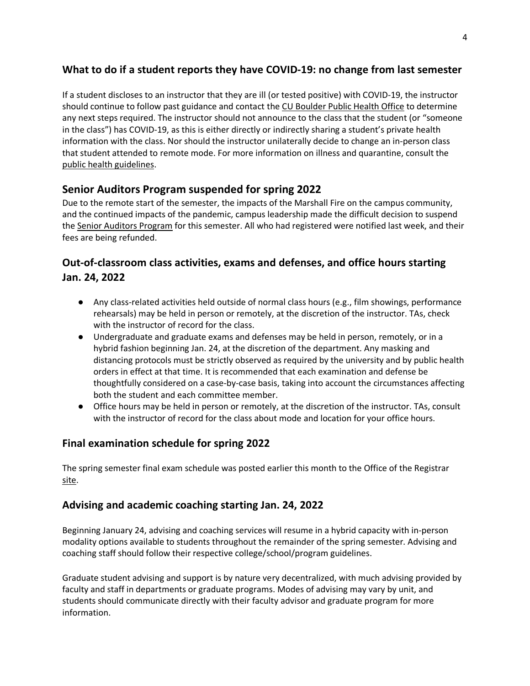## <span id="page-3-0"></span>**What to do if a student reports they have COVID-19: no change from last semester**

If a student discloses to an instructor that they are ill (or tested positive) with COVID-19, the instructor should continue to follow past guidance and contact the [CU Boulder Public Health Office](mailto:contacttracing@colorado.edu) to determine any next steps required. The instructor should not announce to the class that the student (or "someone in the class") has COVID-19, as this is either directly or indirectly sharing a student's private health information with the class. Nor should the instructor unilaterally decide to change an in-person class that student attended to remote mode. For more information on illness and quarantine, consult the [public health guidelines.](https://www.colorado.edu/health/public-health)

## **Senior Auditors Program suspended for spring 2022**

Due to the remote start of the semester, the impacts of the Marshall Fire on the campus community, and the continued impacts of the pandemic, campus leadership made the difficult decision to suspend the [Senior Auditors Program](https://www.colorado.edu/alumni/programs/senior-auditors) for this semester. All who had registered were notified last week, and their fees are being refunded.

# <span id="page-3-1"></span>**Out-of-classroom class activities, exams and defenses, and office hours starting Jan. 24, 2022**

- Any class-related activities held outside of normal class hours (e.g., film showings, performance rehearsals) may be held in person or remotely, at the discretion of the instructor. TAs, check with the instructor of record for the class.
- Undergraduate and graduate exams and defenses may be held in person, remotely, or in a hybrid fashion beginning Jan. 24, at the discretion of the department. Any masking and distancing protocols must be strictly observed as required by the university and by public health orders in effect at that time. It is recommended that each examination and defense be thoughtfully considered on a case-by-case basis, taking into account the circumstances affecting both the student and each committee member.
- Office hours may be held in person or remotely, at the discretion of the instructor. TAs, consult with the instructor of record for the class about mode and location for your office hours.

## <span id="page-3-2"></span>**Final examination schedule for spring 2022**

The spring semester final exam schedule was posted earlier this month to the Office of the Registrar [site.](https://www.colorado.edu/registrar/sites/default/files/attached-files/spring2022final_exam_schedule.pdf)

## <span id="page-3-3"></span>**Advising and academic coaching starting Jan. 24, 2022**

Beginning January 24, advising and coaching services will resume in a hybrid capacity with in-person modality options available to students throughout the remainder of the spring semester. Advising and coaching staff should follow their respective college/school/program guidelines.

Graduate student advising and support is by nature very decentralized, with much advising provided by faculty and staff in departments or graduate programs. Modes of advising may vary by unit, and students should communicate directly with their faculty advisor and graduate program for more information.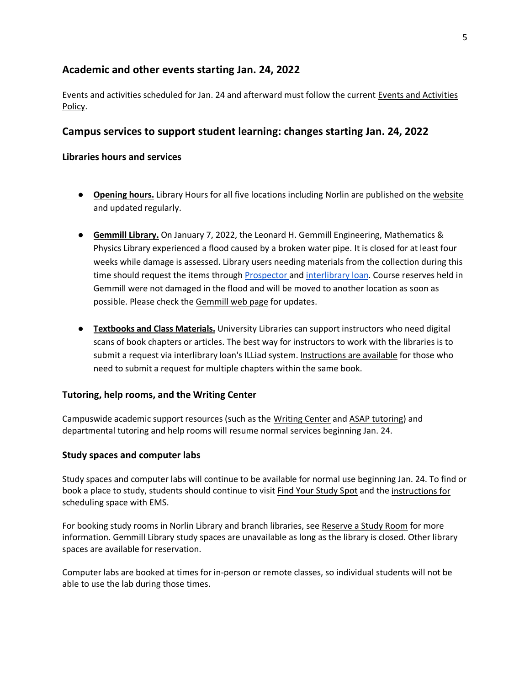#### <span id="page-4-0"></span>**Academic and other events starting Jan. 24, 2022**

Events and activities scheduled for Jan. 24 and afterward must follow the current [Events and Activities](https://www.colorado.edu/policies/events-and-activities-policy)  [Policy.](https://www.colorado.edu/policies/events-and-activities-policy)

#### <span id="page-4-1"></span>**Campus services to support student learning: changes starting Jan. 24, 2022**

#### <span id="page-4-2"></span>**Libraries hours and services**

- **Opening hours.** Library Hours for all five locations including Norlin are published on the [website](https://colorado.libcal.com/hours/?utm_source=Homepage&utm_medium=button&utm_campaign=hours) and updated regularly.
- **Gemmill Library.** On January 7, 2022, the Leonard H. Gemmill Engineering, Mathematics & Physics Library experienced a flood caused by a broken water pipe. It is closed for at least four weeks while damage is assessed. Library users needing materials from the collection during this time should request the items through **Prospector and interlibrary loan**. Course reserves held in Gemmill were not damaged in the flood and will be moved to another location as soon as possible. Please check the [Gemmill web page](https://www.colorado.edu/libraries/libraries-collections/gemmill-library) for updates.
- **Textbooks and Class Materials.** University Libraries can support instructors who need digital scans of book chapters or articles. The best way for instructors to work with the libraries is to submit a request via [interlibrary loan'](https://www.colorado.edu/libraries/services/borrowing-other-libraries)s ILLiad system. [Instructions are available](https://www.colorado.edu/libraries/borrowing-other-libraries/interlibrary-loan) for those who need to submit a request for multiple chapters within the same book.

#### <span id="page-4-3"></span>**Tutoring, help rooms, and the Writing Center**

Campuswide academic support resources (such as the [Writing Center](https://www.colorado.edu/program/writingcenter/) an[d ASAP tutoring\)](https://www.colorado.edu/living/asap) and departmental tutoring and help rooms will resume normal services beginning Jan. 24.

#### <span id="page-4-4"></span>**Study spaces and computer labs**

Study spaces and computer labs will continue to be available for normal use beginning Jan. 24. To find or book a place to study, students should continue to visi[t Find Your Study Spot](https://www.colorado.edu/students/find-your-study-spot) [and t](https://www.colorado.edu/students/find-your-study-spot)he [instructions for](https://ems.colorado.edu/)  [scheduling space with EMS.](https://ems.colorado.edu/)

For booking study rooms in Norlin Library and branch libraries, se[e Reserve a Study Room](https://www.colorado.edu/libraries/services/reserve-study-room) for more information. Gemmill Library study spaces are unavailable as long as the library is closed. Other library spaces are available for reservation.

Computer labs are booked at times for in-person or remote classes, so individual students will not be able to use the lab during those times.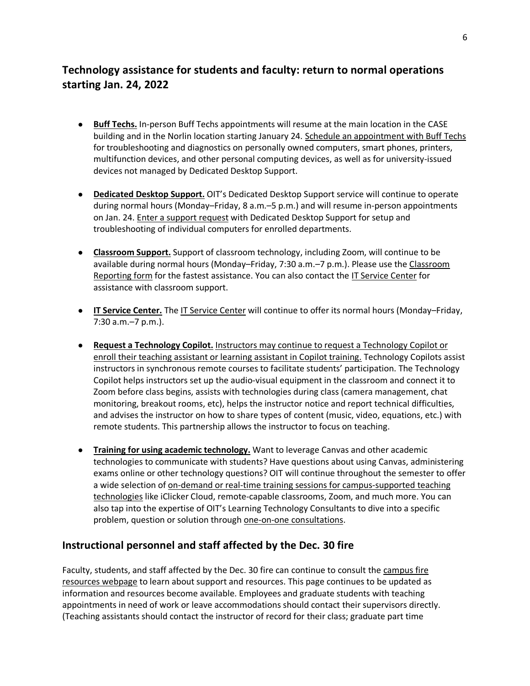# <span id="page-5-0"></span>**Technology assistance for students and faculty: return to normal operations starting Jan. 24, 2022**

- **Buff Techs.** In-person Buff Techs appointments will resume at the main location in the CASE building and in the Norlin location starting January 24. [Schedule an appointment with Buff Techs](https://oit.colorado.edu/buff-techs-desktop-support#schedule) for troubleshooting and diagnostics on personally owned computers, smart phones, printers, multifunction devices, and other personal computing devices, as well as for university-issued devices not managed by Dedicated Desktop Support.
- **Dedicated Desktop Support.** OIT's Dedicated Desktop Support service will continue to operate during normal hours (Monday–Friday, 8 a.m.–5 p.m.) and will resume in-person appointments on Jan. 24. [Enter a support request](https://oit.colorado.edu/user/login?destination=node/16699) with Dedicated Desktop Support for setup and troubleshooting of individual computers for enrolled departments.
- **Classroom Support.** Support of classroom technology, including Zoom, will continue to be available during normal hours (Monday–Friday, 7:30 a.m.–7 p.m.). Please use the [Classroom](https://colorado.service-now.com/x_uola2_class_prob_report_a_classroom_tech_problem.do?)  [Reporting form](https://colorado.service-now.com/x_uola2_class_prob_report_a_classroom_tech_problem.do?) for the fastest assistance. You can also contact the [IT Service Center](https://oit.colorado.edu/support/it-service-center) for assistance with classroom support.
- **IT Service Center.** The [IT Service Center](https://oit.colorado.edu/support/it-service-center) will continue to offer its normal hours (Monday–Friday, 7:30 a.m.–7 p.m.).
- **Request a Technology Copilot.** [Instructors may continue to request a Technology Copilot or](https://oit.colorado.edu/services/academic-technology-design-team/technology-copilots)  [enroll their teaching assistant or learning assistant in Copilot training.](https://oit.colorado.edu/services/academic-technology-design-team/technology-copilots) Technology Copilots assist instructors in synchronous remote courses to facilitate students' participation. The Technology Copilot helps instructors set up the audio-visual equipment in the classroom and connect it to Zoom before class begins, assists with technologies during class (camera management, chat monitoring, breakout rooms, etc), helps the instructor notice and report technical difficulties, and advises the instructor on how to share types of content (music, video, equations, etc.) with remote students. This partnership allows the instructor to focus on teaching.
- **Training for using academic technology.** Want to leverage Canvas and other academic technologies to communicate with students? Have questions about using Canvas, administering exams online or other technology questions? OIT will continue throughout the semester to offer a wide selection of [on-demand or real-time training sessions for campus-supported teaching](https://oit.colorado.edu/node/23111/)  [technologies](https://oit.colorado.edu/node/23111/) like iClicker Cloud, remote-capable classrooms, Zoom, and much more. You can also tap into the expertise of OIT's Learning Technology Consultants to dive into a specific problem, question or solution through [one-on-one consultations.](https://oit.colorado.edu/node/20971#consult)

### <span id="page-5-1"></span>**Instructional personnel and staff affected by the Dec. 30 fire**

Faculty, students, and staff affected by the Dec. 30 fire can continue to consult the [campus fire](https://www.colorado.edu/fire-resources)  [resources webpage](https://www.colorado.edu/fire-resources) to learn about support and resources. This page continues to be updated as information and resources become available. Employees and graduate students with teaching appointments in need of work or leave accommodations should contact their supervisors directly. (Teaching assistants should contact the instructor of record for their class; graduate part time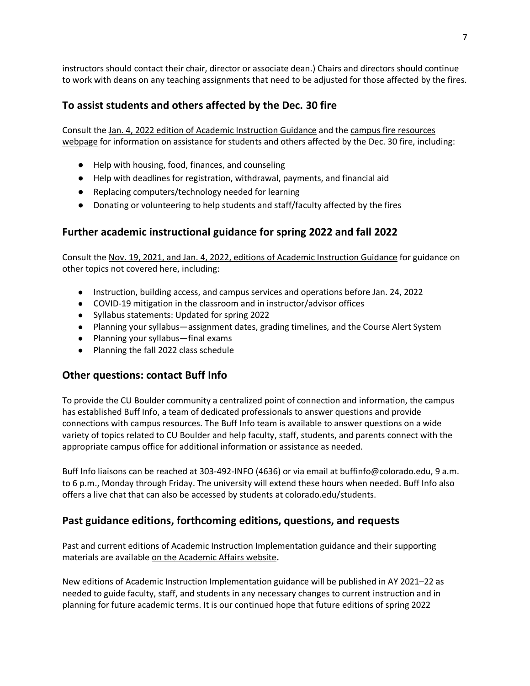instructors should contact their chair, director or associate dean.) Chairs and directors should continue to work with deans on any teaching assignments that need to be adjusted for those affected by the fires.

## <span id="page-6-0"></span>**To assist students and others affected by the Dec. 30 fire**

Consult th[e Jan. 4, 2022 edition of Academic Instruction Guidance](https://www.colorado.edu/academicaffairs/academic-planning-assessment/academic-instruction-guidance) and the [campus fire resources](https://www.colorado.edu/fire-resources)  [webpage](https://www.colorado.edu/fire-resources) for information on assistance for students and others affected by the Dec. 30 fire, including:

- Help with housing, food, finances, and counseling
- Help with deadlines for registration, withdrawal, payments, and financial aid
- Replacing computers/technology needed for learning
- Donating or volunteering to help students and staff/faculty affected by the fires

### <span id="page-6-1"></span>**Further academic instructional guidance for spring 2022 and fall 2022**

Consult th[e Nov. 19, 2021, and Jan. 4, 2022, editions of Academic Instruction Guidance](https://www.colorado.edu/academicaffairs/academic-planning-assessment/academic-instruction-guidance) for guidance on other topics not covered here, including:

- Instruction, building access, and campus services and operations before Jan. 24, 2022
- COVID-19 mitigation in the classroom and in instructor/advisor offices
- Syllabus statements: Updated for spring 2022
- Planning your syllabus—assignment dates, grading timelines, and the Course Alert System
- Planning your syllabus—final exams
- Planning the fall 2022 class schedule

### <span id="page-6-2"></span>**Other questions: contact Buff Info**

To provide the CU Boulder community a centralized point of connection and information, the campus has established Buff Info, a team of dedicated professionals to answer questions and provide connections with campus resources. The Buff Info team is available to answer questions on a wide variety of topics related to CU Boulder and help faculty, staff, students, and parents connect with the appropriate campus office for additional information or assistance as needed.

Buff Info liaisons can be reached at 303-492-INFO (4636) or via email at buffinfo@colorado.edu, 9 a.m. to 6 p.m., Monday through Friday. The university will extend these hours when needed. Buff Info also offers a live chat that can also be accessed by students at colorado.edu/students.

### <span id="page-6-3"></span>**Past guidance editions, forthcoming editions, questions, and requests**

Past and current editions of Academic Instruction Implementation guidance and their supporting materials are available [on the Academic Affairs website](https://www.colorado.edu/academicaffairs/academic-planning-assessment/academic-instruction-guidance)**.**

New editions of Academic Instruction Implementation guidance will be published in AY 2021–22 as needed to guide faculty, staff, and students in any necessary changes to current instruction and in planning for future academic terms. It is our continued hope that future editions of spring 2022